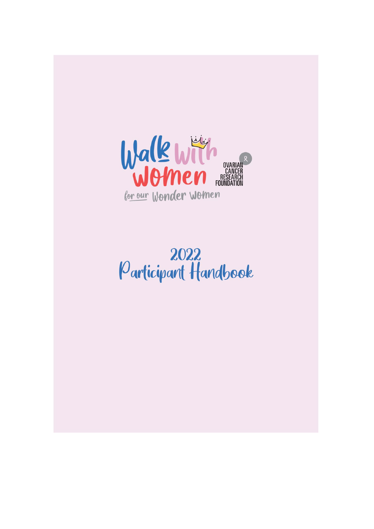

# 2022<br>Participant Handbook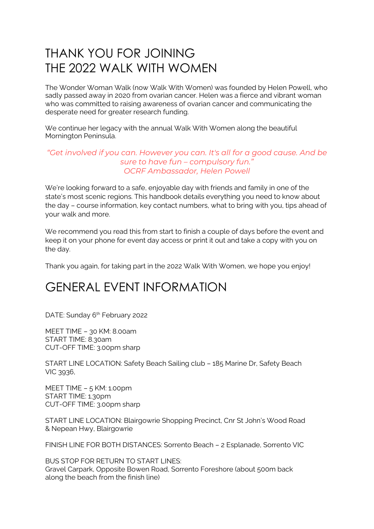## THANK YOU FOR JOINING THE 2022 WALK WITH WOMEN

The Wonder Woman Walk (now Walk With Women) was founded by Helen Powell, who sadly passed away in 2020 from ovarian cancer. Helen was a fierce and vibrant woman who was committed to raising awareness of ovarian cancer and communicating the desperate need for greater research funding.

We continue her legacy with the annual Walk With Women along the beautiful Mornington Peninsula.

#### *"Get involved if you can. However you can. It's all for a good cause. And be sure to have fun – compulsory fun." OCRF Ambassador, Helen Powell*

We're looking forward to a safe, enjoyable day with friends and family in one of the state's most scenic regions. This handbook details everything you need to know about the day – course information, key contact numbers, what to bring with you, tips ahead of your walk and more.

We recommend you read this from start to finish a couple of days before the event and keep it on your phone for event day access or print it out and take a copy with you on the day.

Thank you again, for taking part in the 2022 Walk With Women, we hope you enjoy!

## GENERAL EVENT INFORMATION

DATE: Sunday 6<sup>th</sup> February 2022

MEET TIME – 30 KM: 8.00am START TIME: 8.30am CUT-OFF TIME: 3.00pm sharp

START LINE LOCATION: Safety Beach Sailing club – 185 Marine Dr, Safety Beach VIC 3936,

MEET TIME – 5 KM: 1.00pm START TIME: 1.30pm CUT-OFF TIME: 3.00pm sharp

START LINE LOCATION: Blairgowrie Shopping Precinct, Cnr St John's Wood Road & Nepean Hwy, Blairgowrie

FINISH LINE FOR BOTH DISTANCES: Sorrento Beach – 2 Esplanade, Sorrento VIC

BUS STOP FOR RETURN TO START LINES: Gravel Carpark, Opposite Bowen Road, Sorrento Foreshore (about 500m back along the beach from the finish line)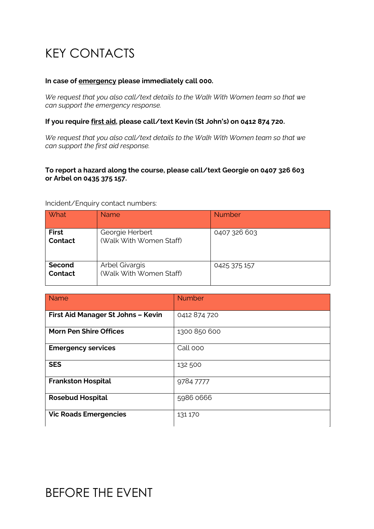# KEY CONTACTS

#### **In case of emergency please immediately call 000.**

*We request that you also call/text details to the Walk With Women team so that we can support the emergency response.*

#### **If you require first aid, please call/text Kevin (St John's) on 0412 874 720.**

*We request that you also call/text details to the Walk With Women team so that we can support the first aid response.*

#### **To report a hazard along the course, please call/text Georgie on 0407 326 603 or Arbel on 0435 375 157.**

Incident/Enquiry contact numbers:

| <b>What</b>             | <b>Name</b>                                | <b>Number</b> |
|-------------------------|--------------------------------------------|---------------|
| <b>First</b><br>Contact | Georgie Herbert<br>(Walk With Women Staff) | 0407 326 603  |
| Second<br>Contact       | Arbel Givargis<br>(Walk With Women Staff)  | 0425 375 157  |

| <b>Name</b>                        | <b>Number</b> |
|------------------------------------|---------------|
| First Aid Manager St Johns - Kevin | 0412 874 720  |
| <b>Morn Pen Shire Offices</b>      | 1300 850 600  |
| <b>Emergency services</b>          | Call 000      |
| <b>SES</b>                         | 132 500       |
| <b>Frankston Hospital</b>          | 97847777      |
| <b>Rosebud Hospital</b>            | 5986 0666     |
| <b>Vic Roads Emergencies</b>       | 131 170       |

## BEFORE THE EVENT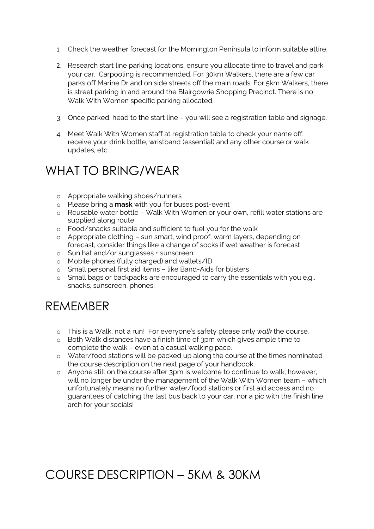- 1. Check the weather forecast for the Mornington Peninsula to inform suitable attire.
- 2. Research start line parking locations, ensure you allocate time to travel and park your car. Carpooling is recommended. For 30km Walkers, there are a few car parks off Marine Dr and on side streets off the main roads. For 5km Walkers, there is street parking in and around the Blairgowrie Shopping Precinct. There is no Walk With Women specific parking allocated.
- 3. Once parked, head to the start line you will see a registration table and signage.
- 4. Meet Walk With Women staff at registration table to check your name off, receive your drink bottle, wristband (essential) and any other course or walk updates, etc.

## WHAT TO BRING/WEAR

- o Appropriate walking shoes/runners
- o Please bring a **mask** with you for buses post-event
- o Reusable water bottle Walk With Women or your own, refill water stations are supplied along route
- o Food/snacks suitable and sufficient to fuel you for the walk
- o Appropriate clothing sun smart, wind proof, warm layers, depending on forecast, consider things like a change of socks if wet weather is forecast
- o Sun hat and/or sunglasses + sunscreen
- o Mobile phones (fully charged) and wallets/ID
- o Small personal first aid items like Band-Aids for blisters
- o Small bags or backpacks are encouraged to carry the essentials with you e.g., snacks, sunscreen, phones.

## **REMEMBER**

- o This is a Walk, not a run! For everyone's safety please only *walk* the course.
- o Both Walk distances have a finish time of 3pm which gives ample time to complete the walk – even at a casual walking pace.
- o Water/food stations will be packed up along the course at the times nominated the course description on the next page of your handbook.
- o Anyone still on the course after 3pm is welcome to continue to walk; however, will no longer be under the management of the Walk With Women team – which unfortunately means no further water/food stations or first aid access and no guarantees of catching the last bus back to your car, nor a pic with the finish line arch for your socials!

## COURSE DESCRIPTION – 5KM & 30KM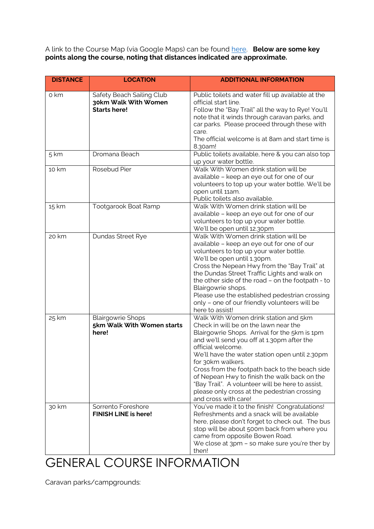A link to the Course Map (via Google Maps) can be found [here.](https://www.google.com/maps/d/u/0/edit?mid=1kEjIWrdfUDVvWag60tV42vWAh3Bpyg-i&usp=sharing) **Below are some key points along the course, noting that distances indicated are approximate.**

| <b>DISTANCE</b> | <b>LOCATION</b>                                                          | <b>ADDITIONAL INFORMATION</b>                                                                                                                                                                                                                                                                                                                                                                                                                                                                           |
|-----------------|--------------------------------------------------------------------------|---------------------------------------------------------------------------------------------------------------------------------------------------------------------------------------------------------------------------------------------------------------------------------------------------------------------------------------------------------------------------------------------------------------------------------------------------------------------------------------------------------|
| o km            | Safety Beach Sailing Club<br>30km Walk With Women<br><b>Starts here!</b> | Public toilets and water fill up available at the<br>official start line.<br>Follow the "Bay Trail" all the way to Rye! You'll<br>note that it winds through caravan parks, and<br>car parks. Please proceed through these with<br>care.<br>The official welcome is at 8am and start time is<br>8.30am!                                                                                                                                                                                                 |
| 5 km            | Dromana Beach                                                            | Public toilets available, here & you can also top<br>up your water bottle.                                                                                                                                                                                                                                                                                                                                                                                                                              |
| 10 km           | Rosebud Pier                                                             | Walk With Women drink station will be<br>available - keep an eye out for one of our<br>volunteers to top up your water bottle. We'll be<br>open until 11am.<br>Public toilets also available.                                                                                                                                                                                                                                                                                                           |
| 15 km           | Tootgarook Boat Ramp                                                     | Walk With Women drink station will be<br>available - keep an eye out for one of our<br>volunteers to top up your water bottle.<br>We'll be open until 12.30pm                                                                                                                                                                                                                                                                                                                                           |
| 20 km           | Dundas Street Rye                                                        | Walk With Women drink station will be<br>available - keep an eye out for one of our<br>volunteers to top up your water bottle.<br>We'll be open until 1.30pm.<br>Cross the Nepean Hwy from the "Bay Trail" at<br>the Dundas Street Traffic Lights and walk on<br>the other side of the road - on the footpath - to<br>Blairgowrie shops.<br>Please use the established pedestrian crossing<br>only - one of our friendly volunteers will be<br>here to assist!                                          |
| 25 km           | <b>Blairgowrie Shops</b><br>5km Walk With Women starts<br>here!          | Walk With Women drink station and 5km<br>Check in will be on the lawn near the<br>Blairgowrie Shops. Arrival for the 5km is 1pm<br>and we'll send you off at 1.30pm after the<br>official welcome.<br>We'll have the water station open until 2.30pm<br>for 30km walkers.<br>Cross from the footpath back to the beach side<br>of Nepean Hwy to finish the walk back on the<br>"Bay Trail". A volunteer will be here to assist,<br>please only cross at the pedestrian crossing<br>and cross with care! |
| 30 km           | Sorrento Foreshore<br><b>FINISH LINE is here!</b>                        | You've made it to the finish! Congratulations!<br>Refreshments and a snack will be available<br>here, please don't forget to check out. The bus<br>stop will be about 500m back from where you<br>came from opposite Bowen Road.<br>We close at 3pm - so make sure you're ther by<br>then!                                                                                                                                                                                                              |

# GENERAL COURSE INFORMATION

Caravan parks/campgrounds: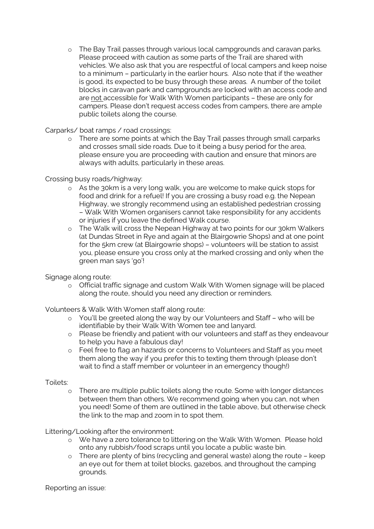o The Bay Trail passes through various local campgrounds and caravan parks. Please proceed with caution as some parts of the Trail are shared with vehicles. We also ask that you are respectful of local campers and keep noise to a minimum – particularly in the earlier hours. Also note that if the weather is good, its expected to be busy through these areas. A number of the toilet blocks in caravan park and campgrounds are locked with an access code and are not accessible for Walk With Women participants – these are only for campers. Please don't request access codes from campers, there are ample public toilets along the course.

Carparks/ boat ramps / road crossings:

o There are some points at which the Bay Trail passes through small carparks and crosses small side roads. Due to it being a busy period for the area, please ensure you are proceeding with caution and ensure that minors are always with adults, particularly in these areas.

Crossing busy roads/highway:

- o As the 30km is a very long walk, you are welcome to make quick stops for food and drink for a refuel! If you are crossing a busy road e.g. the Nepean Highway, we strongly recommend using an established pedestrian crossing – Walk With Women organisers cannot take responsibility for any accidents or injuries if you leave the defined Walk course.
- o The Walk will cross the Nepean Highway at two points for our 30km Walkers (at Dundas Street in Rye and again at the Blairgowrie Shops) and at one point for the 5km crew (at Blairgowrie shops) – volunteers will be station to assist you, please ensure you cross only at the marked crossing and only when the green man says 'go'!

Signage along route:

o Official traffic signage and custom Walk With Women signage will be placed along the route, should you need any direction or reminders.

Volunteers & Walk With Women staff along route:

- o You'll be greeted along the way by our Volunteers and Staff who will be identifiable by their Walk With Women tee and lanyard.
- o Please be friendly and patient with our volunteers and staff as they endeavour to help you have a fabulous day!
- o Feel free to flag an hazards or concerns to Volunteers and Staff as you meet them along the way if you prefer this to texting them through (please don't wait to find a staff member or volunteer in an emergency though!)

Toilets:

o There are multiple public toilets along the route. Some with longer distances between them than others. We recommend going when you can, not when you need! Some of them are outlined in the table above, but otherwise check the link to the map and zoom in to spot them.

Littering/Looking after the environment:

- o We have a zero tolerance to littering on the Walk With Women. Please hold onto any rubbish/food scraps until you locate a public waste bin.
- o There are plenty of bins (recycling and general waste) along the route keep an eye out for them at toilet blocks, gazebos, and throughout the camping grounds.

Reporting an issue: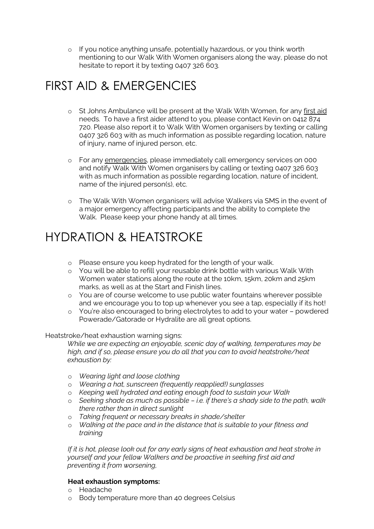o If you notice anything unsafe, potentially hazardous, or you think worth mentioning to our Walk With Women organisers along the way, please do not hesitate to report it by texting 0407 326 603.

## FIRST AID & EMERGENCIES

- o St Johns Ambulance will be present at the Walk With Women, for any first aid needs. To have a first aider attend to you, please contact Kevin on 0412 874 720. Please also report it to Walk With Women organisers by texting or calling 0407 326 603 with as much information as possible regarding location, nature of injury, name of injured person, etc.
- o For any emergencies, please immediately call emergency services on 000 and notify Walk With Women organisers by calling or texting 0407 326 603 with as much information as possible regarding location, nature of incident, name of the injured person(s), etc.
- o The Walk With Women organisers will advise Walkers via SMS in the event of a major emergency affecting participants and the ability to complete the Walk. Please keep your phone handy at all times.

## HYDRATION & HEATSTROKE

- o Please ensure you keep hydrated for the length of your walk.
- o You will be able to refill your reusable drink bottle with various Walk With Women water stations along the route at the 10km, 15km, 20km and 25km marks, as well as at the Start and Finish lines.
- o You are of course welcome to use public water fountains wherever possible and we encourage you to top up whenever you see a tap, especially if its hot!
- o You're also encouraged to bring electrolytes to add to your water powdered Powerade/Gatorade or Hydralite are all great options.

#### Heatstroke/heat exhaustion warning signs:

*While we are expecting an enjoyable, scenic day of walking, temperatures may be high, and if so, please ensure you do all that you can to avoid heatstroke/heat exhaustion by:*

- o *Wearing light and loose clothing*
- o *Wearing a hat, sunscreen (frequently reapplied!) sunglasses*
- o *Keeping well hydrated and eating enough food to sustain your Walk*
- o *Seeking shade as much as possible – i.e. if there's a shady side to the path, walk there rather than in direct sunlight*
- o *Taking frequent or necessary breaks in shade/shelter*
- o *Walking at the pace and in the distance that is suitable to your fitness and training*

*If it is hot, please look out for any early signs of heat exhaustion and heat stroke in yourself and your fellow Walkers and be proactive in seeking first aid and preventing it from worsening,* 

#### **Heat exhaustion symptoms:**

- o Headache
- o Body temperature more than 40 degrees Celsius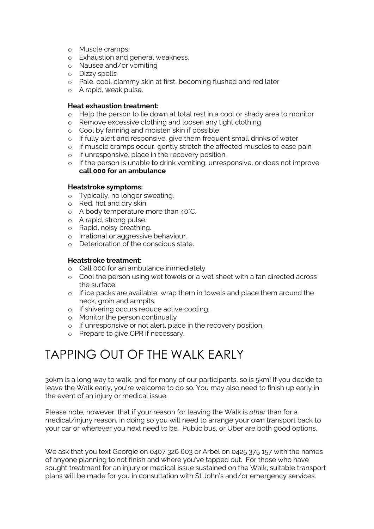- o Muscle cramps
- o Exhaustion and general weakness.
- o Nausea and/or vomiting
- o Dizzy spells
- o Pale, cool, clammy skin at first, becoming flushed and red later
- o A rapid, weak pulse.

#### **Heat exhaustion treatment:**

- o Help the person to lie down at total rest in a cool or shady area to monitor
- o Remove excessive clothing and loosen any tight clothing
- o Cool by fanning and moisten skin if possible
- o If fully alert and responsive, give them frequent small drinks of water
- o If muscle cramps occur, gently stretch the affected muscles to ease pain
- o If unresponsive, place in the recovery position.
- o If the person is unable to drink vomiting, unresponsive, or does not improve **call 000 for an ambulance**

#### **Heatstroke symptoms:**

- o Typically, no longer sweating.
- o Red, hot and dry skin.
- o A body temperature more than 40°C.
- o A rapid, strong pulse.
- o Rapid, noisy breathing.
- o Irrational or aggressive behaviour.
- o Deterioration of the conscious state.

#### **Heatstroke treatment:**

- o Call 000 for an ambulance immediately
- o Cool the person using wet towels or a wet sheet with a fan directed across the surface.
- o If ice packs are available, wrap them in towels and place them around the neck, groin and armpits.
- o If shivering occurs reduce active cooling.
- o Monitor the person continually
- o If unresponsive or not alert, place in the recovery position.
- o Prepare to give CPR if necessary.

## TAPPING OUT OF THE WALK EARLY

30km is a long way to walk, and for many of our participants, so is 5km! If you decide to leave the Walk early, you're welcome to do so. You may also need to finish up early in the event of an injury or medical issue.

Please note, however, that if your reason for leaving the Walk is *other* than for a medical/injury reason, in doing so you will need to arrange your own transport back to your car or wherever you next need to be. Public bus, or Uber are both good options.

We ask that you text Georgie on 0407 326 603 or Arbel on 0425 375 157 with the names of anyone planning to not finish and where you've tapped out. For those who have sought treatment for an injury or medical issue sustained on the Walk, suitable transport plans will be made for you in consultation with St John's and/or emergency services.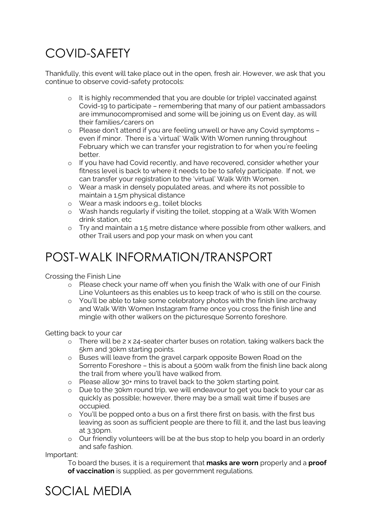## COVID-SAFETY

Thankfully, this event will take place out in the open, fresh air. However, we ask that you continue to observe covid-safety protocols:

- o It is highly recommended that you are double (or triple) vaccinated against Covid-19 to participate – remembering that many of our patient ambassadors are immunocompromised and some will be joining us on Event day, as will their families/carers on
- o Please don't attend if you are feeling unwell or have any Covid symptoms even if minor. There is a 'virtual' Walk With Women running throughout February which we can transfer your registration to for when you're feeling better.
- o If you have had Covid recently, and have recovered, consider whether your fitness level is back to where it needs to be to safely participate. If not, we can transfer your registration to the 'virtual' Walk With Women.
- o Wear a mask in densely populated areas, and where its not possible to maintain a 1.5m physical distance
- o Wear a mask indoors e.g., toilet blocks
- o Wash hands regularly if visiting the toilet, stopping at a Walk With Women drink station, etc
- o Try and maintain a 1.5 metre distance where possible from other walkers, and other Trail users and pop your mask on when you cant

## POST-WALK INFORMATION/TRANSPORT

Crossing the Finish Line

- o Please check your name off when you finish the Walk with one of our Finish Line Volunteers as this enables us to keep track of who is still on the course.
- o You'll be able to take some celebratory photos with the finish line archway and Walk With Women Instagram frame once you cross the finish line and mingle with other walkers on the picturesque Sorrento foreshore.

Getting back to your car

- o There will be 2 x 24-seater charter buses on rotation, taking walkers back the 5km and 30km starting points.
- o Buses will leave from the gravel carpark opposite Bowen Road on the Sorrento Foreshore – this is about a 500m walk from the finish line back along the trail from where you'll have walked from.
- o Please allow 30+ mins to travel back to the 30km starting point.
- o Due to the 30km round trip, we will endeavour to get you back to your car as quickly as possible; however, there may be a small wait time if buses are occupied.
- o You'll be popped onto a bus on a first there first on basis, with the first bus leaving as soon as sufficient people are there to fill it, and the last bus leaving at 3.30pm.
- o Our friendly volunteers will be at the bus stop to help you board in an orderly and safe fashion.

Important:

To board the buses, it is a requirement that **masks are worn** properly and a **proof of vaccination** is supplied, as per government regulations.

#### SOCIAL MEDIA